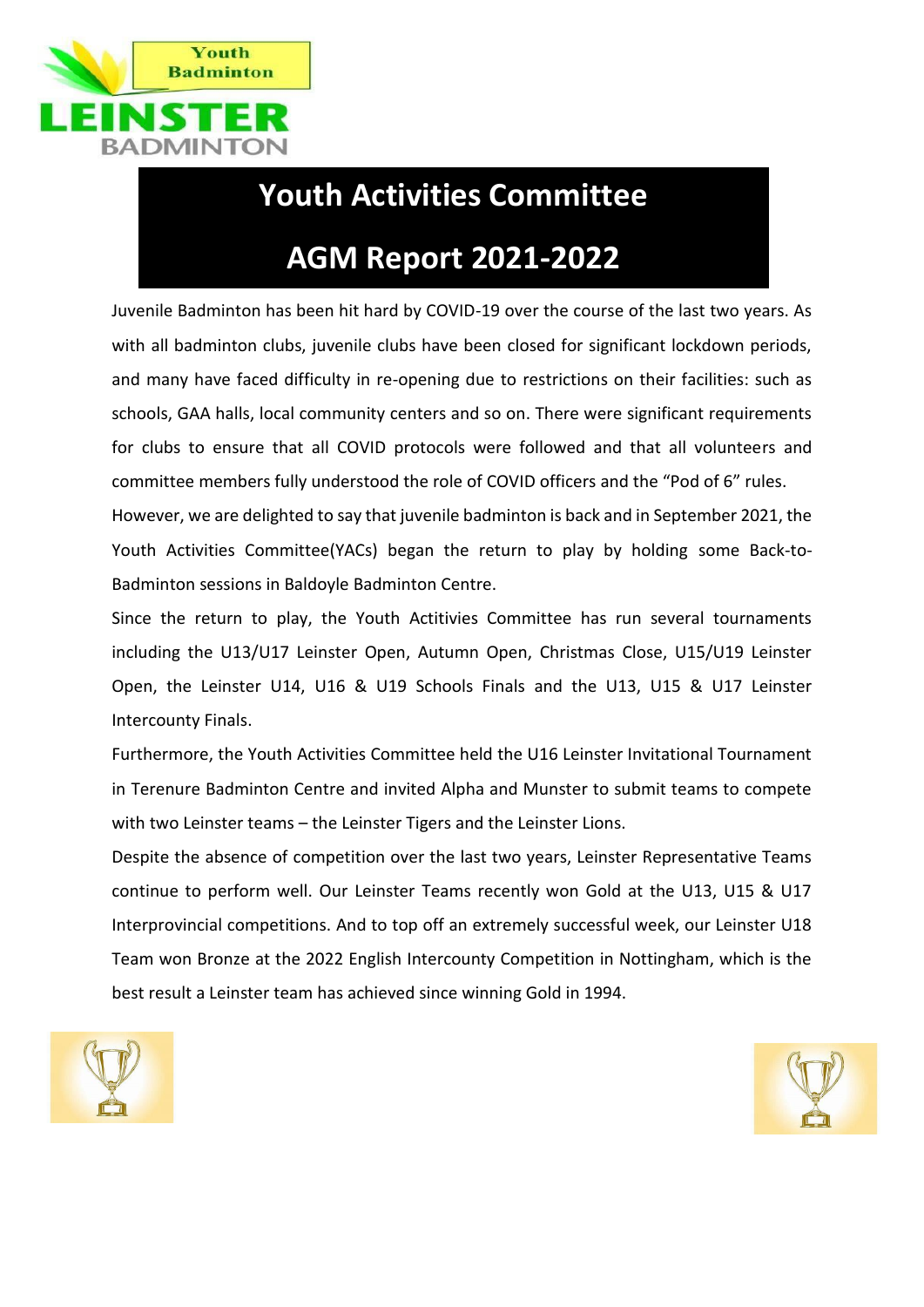

## **Youth Activities Committee**

# **AGM Report 2021-2022**

Juvenile Badminton has been hit hard by COVID-19 over the course of the last two years. As with all badminton clubs, juvenile clubs have been closed for significant lockdown periods, and many have faced difficulty in re-opening due to restrictions on their facilities: such as schools, GAA halls, local community centers and so on. There were significant requirements for clubs to ensure that all COVID protocols were followed and that all volunteers and committee members fully understood the role of COVID officers and the "Pod of 6" rules.

However, we are delighted to say that juvenile badminton is back and in September 2021, the Youth Activities Committee(YACs) began the return to play by holding some Back-to-Badminton sessions in Baldoyle Badminton Centre.

Since the return to play, the Youth Actitivies Committee has run several tournaments including the U13/U17 Leinster Open, Autumn Open, Christmas Close, U15/U19 Leinster Open, the Leinster U14, U16 & U19 Schools Finals and the U13, U15 & U17 Leinster Intercounty Finals.

Furthermore, the Youth Activities Committee held the U16 Leinster Invitational Tournament in Terenure Badminton Centre and invited Alpha and Munster to submit teams to compete with two Leinster teams – the Leinster Tigers and the Leinster Lions.

Despite the absence of competition over the last two years, Leinster Representative Teams continue to perform well. Our Leinster Teams recently won Gold at the U13, U15 & U17 Interprovincial competitions. And to top off an extremely successful week, our Leinster U18 Team won Bronze at the 2022 English Intercounty Competition in Nottingham, which is the best result a Leinster team has achieved since winning Gold in 1994.



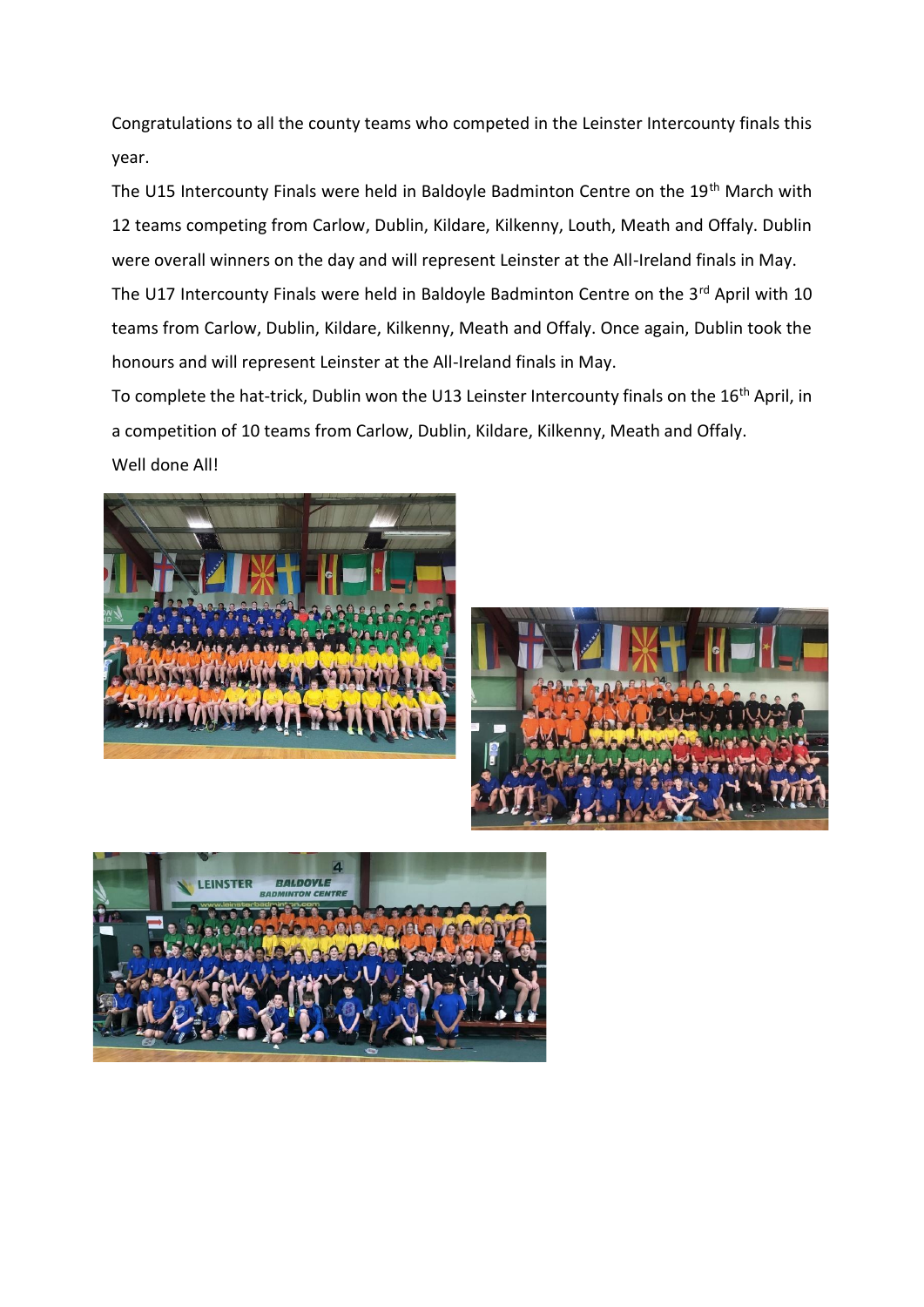Congratulations to all the county teams who competed in the Leinster Intercounty finals this year.

The U15 Intercounty Finals were held in Baldoyle Badminton Centre on the 19<sup>th</sup> March with 12 teams competing from Carlow, Dublin, Kildare, Kilkenny, Louth, Meath and Offaly. Dublin were overall winners on the day and will represent Leinster at the All-Ireland finals in May. The U17 Intercounty Finals were held in Baldoyle Badminton Centre on the 3<sup>rd</sup> April with 10 teams from Carlow, Dublin, Kildare, Kilkenny, Meath and Offaly. Once again, Dublin took the honours and will represent Leinster at the All-Ireland finals in May.

To complete the hat-trick, Dublin won the U13 Leinster Intercounty finals on the 16<sup>th</sup> April, in a competition of 10 teams from Carlow, Dublin, Kildare, Kilkenny, Meath and Offaly.

Well done All!





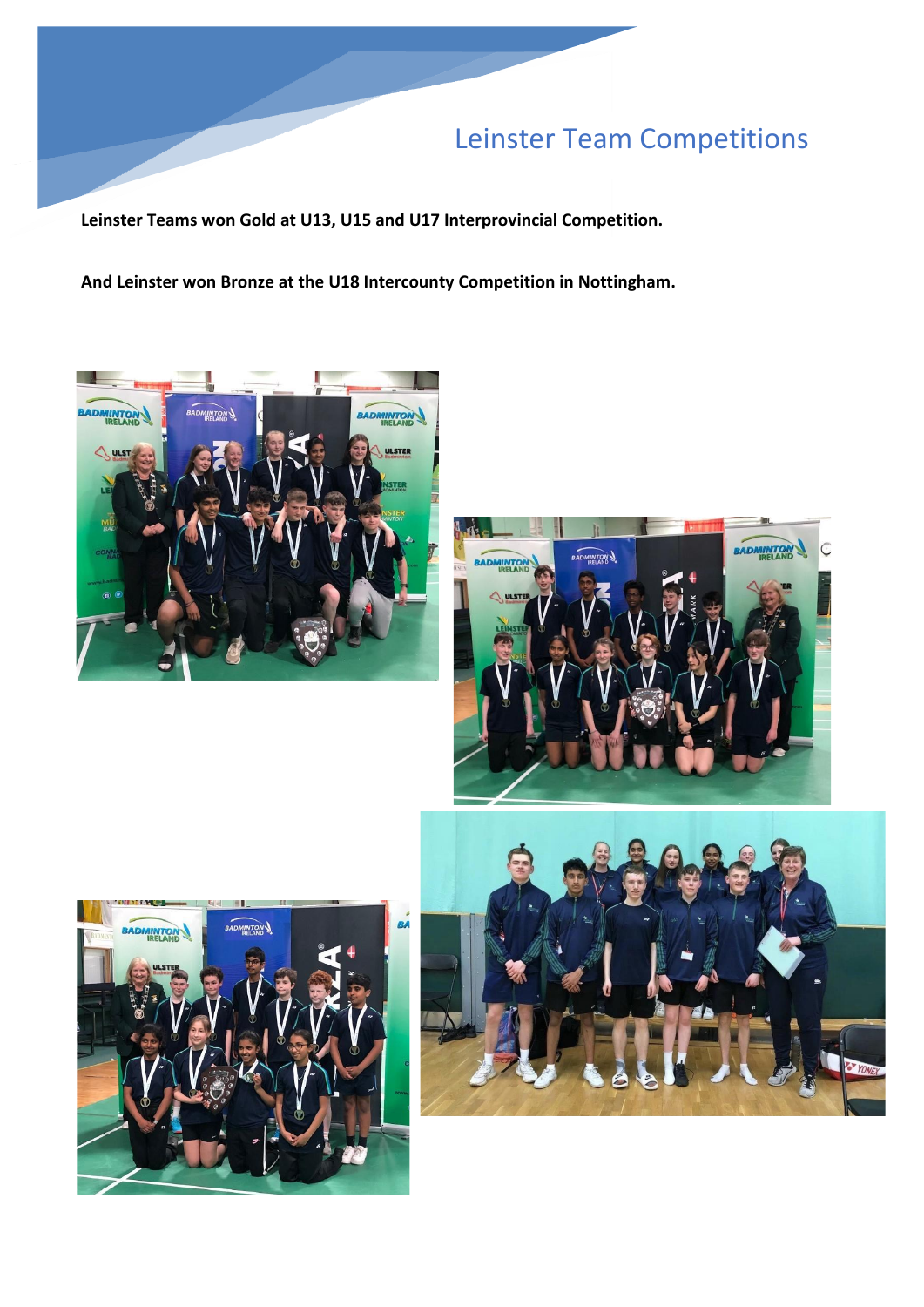## Leinster Team Competitions

**Leinster Teams won Gold at U13, U15 and U17 Interprovincial Competition.**

**And Leinster won Bronze at the U18 Intercounty Competition in Nottingham.**







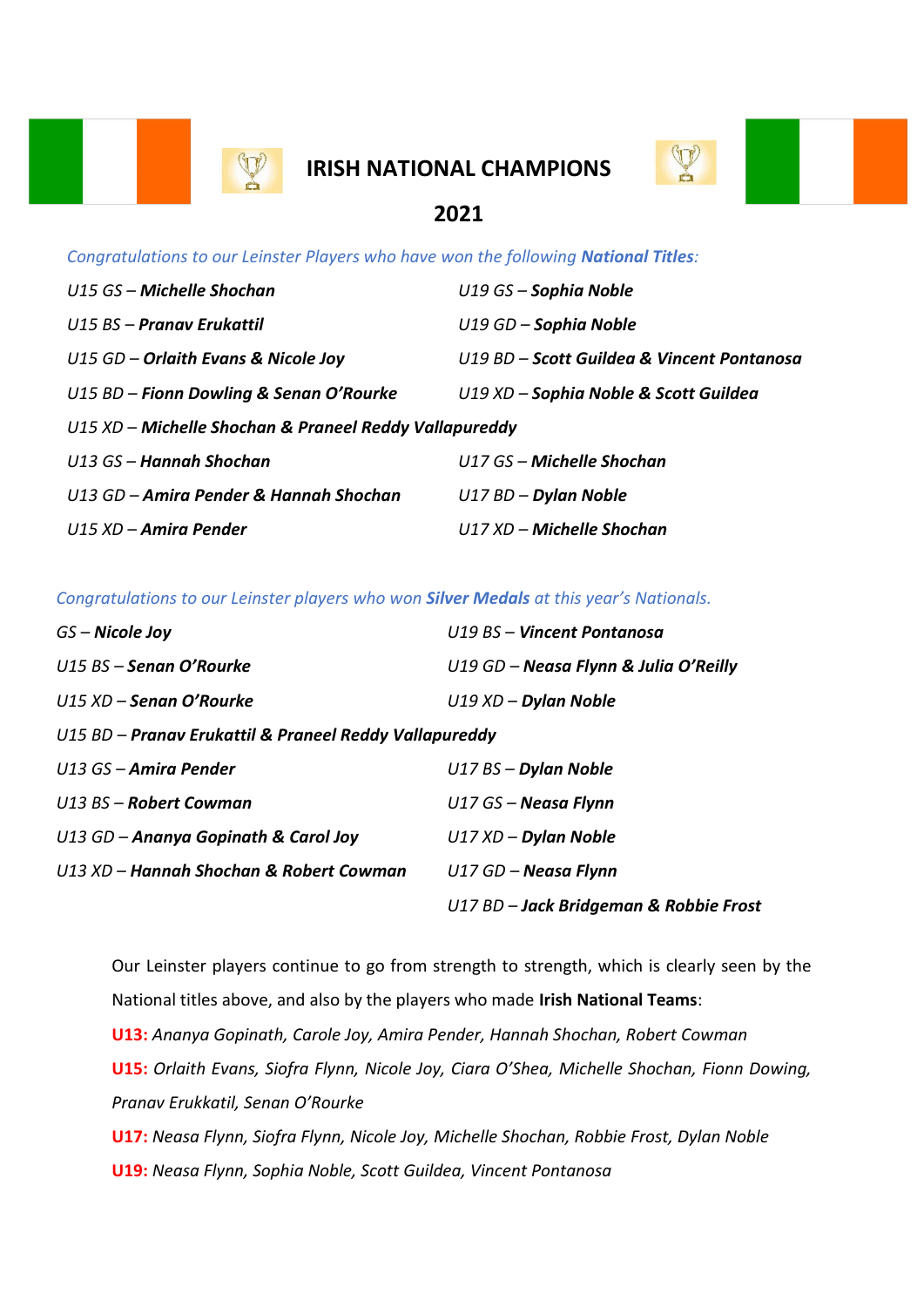

## **IRISH NATIONAL CHAMPIONS**



### **2021**

*Congratulations to our Leinster Players who have won the following National Titles:*

| U15 GS - Michelle Shochan                              | $U19GS -$ Sophia Noble                     |  |
|--------------------------------------------------------|--------------------------------------------|--|
| U15 BS - Pranav Erukattil                              | $U19$ GD – Sophia Noble                    |  |
| $U15$ GD – Orlaith Evans & Nicole Joy                  | U19 BD – Scott Guildea & Vincent Pontanosa |  |
| $U15 BD - Fionn$ Dowling & Senan O'Rourke              | U19 XD - Sophia Noble & Scott Guildea      |  |
| U15 XD – Michelle Shochan & Praneel Reddy Vallapureddy |                                            |  |
| U13 GS – Hannah Shochan                                | $U17$ GS – Michelle Shochan                |  |
| U13 GD – Amira Pender & Hannah Shochan                 | $U17 BD - Dylan Noble$                     |  |
| U15 XD – Amira Pender                                  | $U17$ XD – Michelle Shochan                |  |

*Congratulations to our Leinster players who won Silver Medals at this year's Nationals.* 

| GS – Nicole Joy                                        | U19 BS - Vincent Pontanosa             |  |
|--------------------------------------------------------|----------------------------------------|--|
| $U15$ BS – Senan O'Rourke                              | U19 GD - Neasa Flynn & Julia O'Reilly  |  |
| $U15$ XD – Senan O'Rourke                              | $U19$ XD – Dylan Noble                 |  |
| U15 BD – Pranav Erukattil & Praneel Reddy Vallapureddy |                                        |  |
| U13 GS - Amira Pender                                  | $U17$ BS – Dylan Noble                 |  |
| $U13$ BS – Robert Cowman                               | $U17$ GS – Neasa Flynn                 |  |
| $U13$ GD – Ananya Gopinath & Carol Joy                 | $U17 XD - D$ ylan Noble                |  |
| U13 XD - Hannah Shochan & Robert Cowman                | $U17$ GD – Neasa Flynn                 |  |
|                                                        | U17 BD - Jack Bridgeman & Robbie Frost |  |

Our Leinster players continue to go from strength to strength, which is clearly seen by the National titles above, and also by the players who made **Irish National Teams**: **U13:** *Ananya Gopinath, Carole Joy, Amira Pender, Hannah Shochan, Robert Cowman* **U15:** *Orlaith Evans, Siofra Flynn, Nicole Joy, Ciara O'Shea, Michelle Shochan, Fionn Dowing, Pranav Erukkatil, Senan O'Rourke* **U17:** *Neasa Flynn, Siofra Flynn, Nicole Joy, Michelle Shochan, Robbie Frost, Dylan Noble*

**U19:** *Neasa Flynn, Sophia Noble, Scott Guildea, Vincent Pontanosa*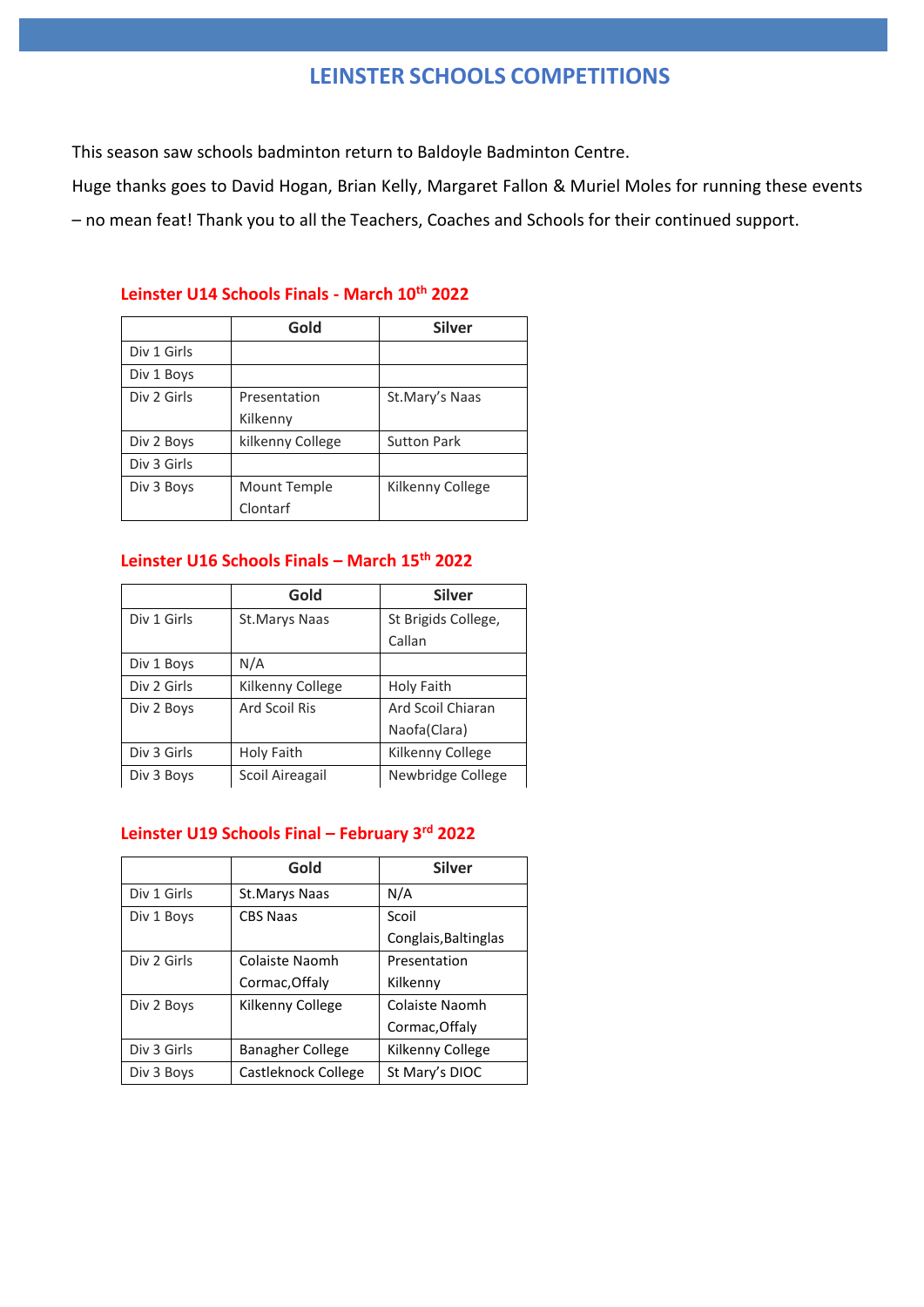### **LEINSTER SCHOOLS COMPETITIONS**

This season saw schools badminton return to Baldoyle Badminton Centre.

Huge thanks goes to David Hogan, Brian Kelly, Margaret Fallon & Muriel Moles for running these events – no mean feat! Thank you to all the Teachers, Coaches and Schools for their continued support.

#### **Leinster U14 Schools Finals - March 10th 2022**

|             | Gold             | <b>Silver</b>      |
|-------------|------------------|--------------------|
| Div 1 Girls |                  |                    |
| Div 1 Boys  |                  |                    |
| Div 2 Girls | Presentation     | St.Mary's Naas     |
|             | Kilkenny         |                    |
| Div 2 Boys  | kilkenny College | <b>Sutton Park</b> |
| Div 3 Girls |                  |                    |
| Div 3 Boys  | Mount Temple     | Kilkenny College   |
|             | Clontarf         |                    |

#### **Leinster U16 Schools Finals – March 15th 2022**

|             | Gold             | <b>Silver</b>       |
|-------------|------------------|---------------------|
| Div 1 Girls | St. Marys Naas   | St Brigids College, |
|             |                  | Callan              |
| Div 1 Boys  | N/A              |                     |
| Div 2 Girls | Kilkenny College | Holy Faith          |
| Div 2 Boys  | Ard Scoil Ris    | Ard Scoil Chiaran   |
|             |                  | Naofa(Clara)        |
| Div 3 Girls | Holy Faith       | Kilkenny College    |
| Div 3 Boys  | Scoil Aireagail  | Newbridge College   |

#### **Leinster U19 Schools Final – February 3rd 2022**

|             | Gold                    | <b>Silver</b>        |
|-------------|-------------------------|----------------------|
| Div 1 Girls | St.Marys Naas           | N/A                  |
| Div 1 Boys  | <b>CBS Naas</b>         | Scoil                |
|             |                         | Conglais, Baltinglas |
| Div 2 Girls | Colaiste Naomh          | Presentation         |
|             | Cormac, Offaly          | Kilkenny             |
| Div 2 Boys  | Kilkenny College        | Colaiste Naomh       |
|             |                         | Cormac, Offaly       |
| Div 3 Girls | <b>Banagher College</b> | Kilkenny College     |
| Div 3 Boys  | Castleknock College     | St Mary's DIOC       |